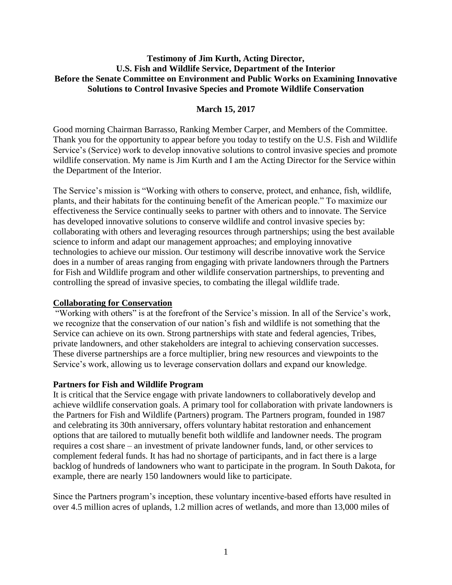#### **Testimony of Jim Kurth, Acting Director, U.S. Fish and Wildlife Service, Department of the Interior Before the Senate Committee on Environment and Public Works on Examining Innovative Solutions to Control Invasive Species and Promote Wildlife Conservation**

# **March 15, 2017**

Good morning Chairman Barrasso, Ranking Member Carper, and Members of the Committee. Thank you for the opportunity to appear before you today to testify on the U.S. Fish and Wildlife Service's (Service) work to develop innovative solutions to control invasive species and promote wildlife conservation. My name is Jim Kurth and I am the Acting Director for the Service within the Department of the Interior.

The Service's mission is "Working with others to conserve, protect, and enhance, fish, wildlife, plants, and their habitats for the continuing benefit of the American people." To maximize our effectiveness the Service continually seeks to partner with others and to innovate. The Service has developed innovative solutions to conserve wildlife and control invasive species by: collaborating with others and leveraging resources through partnerships; using the best available science to inform and adapt our management approaches; and employing innovative technologies to achieve our mission. Our testimony will describe innovative work the Service does in a number of areas ranging from engaging with private landowners through the Partners for Fish and Wildlife program and other wildlife conservation partnerships, to preventing and controlling the spread of invasive species, to combating the illegal wildlife trade.

## **Collaborating for Conservation**

"Working with others" is at the forefront of the Service's mission. In all of the Service's work, we recognize that the conservation of our nation's fish and wildlife is not something that the Service can achieve on its own. Strong partnerships with state and federal agencies, Tribes, private landowners, and other stakeholders are integral to achieving conservation successes. These diverse partnerships are a force multiplier, bring new resources and viewpoints to the Service's work, allowing us to leverage conservation dollars and expand our knowledge.

## **Partners for Fish and Wildlife Program**

It is critical that the Service engage with private landowners to collaboratively develop and achieve wildlife conservation goals. A primary tool for collaboration with private landowners is the Partners for Fish and Wildlife (Partners) program. The Partners program, founded in 1987 and celebrating its 30th anniversary, offers voluntary habitat restoration and enhancement options that are tailored to mutually benefit both wildlife and landowner needs. The program requires a cost share – an investment of private landowner funds, land, or other services to complement federal funds. It has had no shortage of participants, and in fact there is a large backlog of hundreds of landowners who want to participate in the program. In South Dakota, for example, there are nearly 150 landowners would like to participate.

Since the Partners program's inception, these voluntary incentive-based efforts have resulted in over 4.5 million acres of uplands, 1.2 million acres of wetlands, and more than 13,000 miles of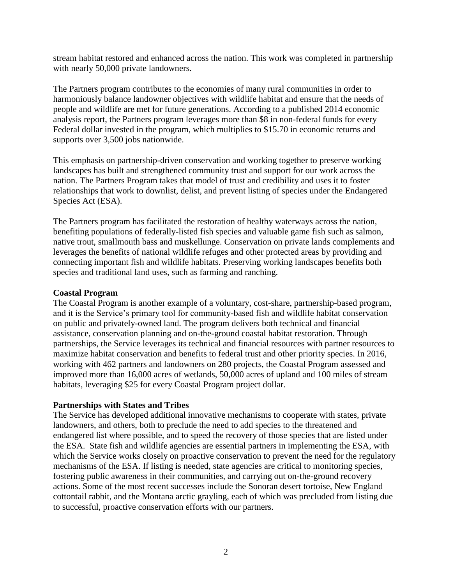stream habitat restored and enhanced across the nation. This work was completed in partnership with nearly 50,000 private landowners.

The Partners program contributes to the economies of many rural communities in order to harmoniously balance landowner objectives with wildlife habitat and ensure that the needs of people and wildlife are met for future generations. According to a published 2014 economic analysis report, the Partners program leverages more than \$8 in non-federal funds for every Federal dollar invested in the program, which multiplies to \$15.70 in economic returns and supports over 3,500 jobs nationwide.

This emphasis on partnership-driven conservation and working together to preserve working landscapes has built and strengthened community trust and support for our work across the nation. The Partners Program takes that model of trust and credibility and uses it to foster relationships that work to downlist, delist, and prevent listing of species under the Endangered Species Act (ESA).

The Partners program has facilitated the restoration of healthy waterways across the nation, benefiting populations of federally-listed fish species and valuable game fish such as salmon, native trout, smallmouth bass and muskellunge. Conservation on private lands complements and leverages the benefits of national wildlife refuges and other protected areas by providing and connecting important fish and wildlife habitats. Preserving working landscapes benefits both species and traditional land uses, such as farming and ranching.

#### **Coastal Program**

The Coastal Program is another example of a voluntary, cost-share, partnership-based program, and it is the Service's primary tool for community-based fish and wildlife habitat conservation on public and privately-owned land. The program delivers both technical and financial assistance, conservation planning and on-the-ground coastal habitat restoration. Through partnerships, the Service leverages its technical and financial resources with partner resources to maximize habitat conservation and benefits to federal trust and other priority species. In 2016, working with 462 partners and landowners on 280 projects, the Coastal Program assessed and improved more than 16,000 acres of wetlands, 50,000 acres of upland and 100 miles of stream habitats, leveraging \$25 for every Coastal Program project dollar.

#### **Partnerships with States and Tribes**

The Service has developed additional innovative mechanisms to cooperate with states, private landowners, and others, both to preclude the need to add species to the threatened and endangered list where possible, and to speed the recovery of those species that are listed under the ESA. State fish and wildlife agencies are essential partners in implementing the ESA, with which the Service works closely on proactive conservation to prevent the need for the regulatory mechanisms of the ESA. If listing is needed, state agencies are critical to monitoring species, fostering public awareness in their communities, and carrying out on-the-ground recovery actions. Some of the most recent successes include the Sonoran desert tortoise, New England cottontail rabbit, and the Montana arctic grayling, each of which was precluded from listing due to successful, proactive conservation efforts with our partners.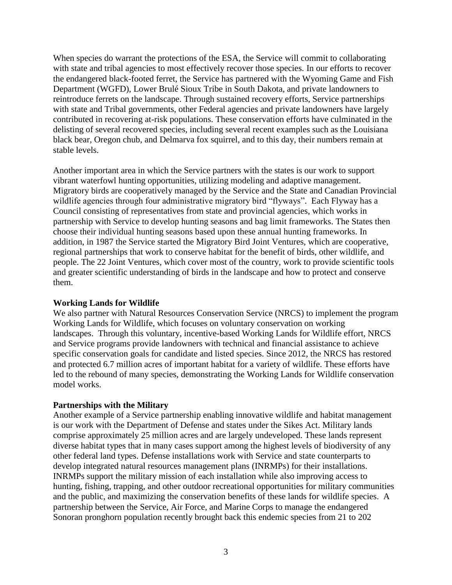When species do warrant the protections of the ESA, the Service will commit to collaborating with state and tribal agencies to most effectively recover those species. In our efforts to recover the endangered black-footed ferret, the Service has partnered with the Wyoming Game and Fish Department (WGFD), Lower Brulé Sioux Tribe in South Dakota, and private landowners to reintroduce ferrets on the landscape. Through sustained recovery efforts, Service partnerships with state and Tribal governments, other Federal agencies and private landowners have largely contributed in recovering at-risk populations. These conservation efforts have culminated in the delisting of several recovered species, including several recent examples such as the Louisiana black bear, Oregon chub, and Delmarva fox squirrel, and to this day, their numbers remain at stable levels.

Another important area in which the Service partners with the states is our work to support vibrant waterfowl hunting opportunities, utilizing modeling and adaptive management. Migratory birds are cooperatively managed by the Service and the State and Canadian Provincial wildlife agencies through four administrative migratory bird "flyways". Each Flyway has a Council consisting of representatives from state and provincial agencies, which works in partnership with Service to develop hunting seasons and bag limit frameworks. The States then choose their individual hunting seasons based upon these annual hunting frameworks. In addition, in 1987 the Service started the Migratory Bird Joint Ventures, which are cooperative, regional partnerships that work to conserve habitat for the benefit of birds, other wildlife, and people. The 22 Joint Ventures, which cover most of the country, work to provide scientific tools and greater scientific understanding of birds in the landscape and how to protect and conserve them.

#### **Working Lands for Wildlife**

We also partner with Natural Resources Conservation Service (NRCS) to implement the program Working Lands for Wildlife, which focuses on voluntary conservation on working landscapes. Through this voluntary, incentive-based Working Lands for Wildlife effort, NRCS and Service programs provide landowners with technical and financial assistance to achieve specific conservation goals for candidate and listed species. Since 2012, the NRCS has restored and protected 6.7 million acres of important habitat for a variety of wildlife. These efforts have led to the rebound of many species, demonstrating the Working Lands for Wildlife conservation model works.

#### **Partnerships with the Military**

Another example of a Service partnership enabling innovative wildlife and habitat management is our work with the Department of Defense and states under the Sikes Act. Military lands comprise approximately 25 million acres and are largely undeveloped. These lands represent diverse habitat types that in many cases support among the highest levels of biodiversity of any other federal land types. Defense installations work with Service and state counterparts to develop integrated natural resources management plans (INRMPs) for their installations. INRMPs support the military mission of each installation while also improving access to hunting, fishing, trapping, and other outdoor recreational opportunities for military communities and the public, and maximizing the conservation benefits of these lands for wildlife species. A partnership between the Service, Air Force, and Marine Corps to manage the endangered Sonoran pronghorn population recently brought back this endemic species from 21 to 202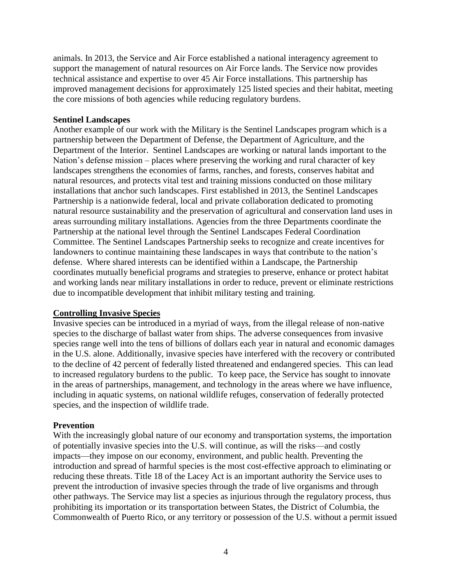animals. In 2013, the Service and Air Force established a national interagency agreement to support the management of natural resources on Air Force lands. The Service now provides technical assistance and expertise to over 45 Air Force installations. This partnership has improved management decisions for approximately 125 listed species and their habitat, meeting the core missions of both agencies while reducing regulatory burdens.

#### **Sentinel Landscapes**

Another example of our work with the Military is the Sentinel Landscapes program which is a partnership between the Department of Defense, the Department of Agriculture, and the Department of the Interior. Sentinel Landscapes are working or natural lands important to the Nation's defense mission – places where preserving the working and rural character of key landscapes strengthens the economies of farms, ranches, and forests, conserves habitat and natural resources, and protects vital test and training missions conducted on those military installations that anchor such landscapes. First established in 2013, the Sentinel Landscapes Partnership is a nationwide federal, local and private collaboration dedicated to promoting natural resource sustainability and the preservation of agricultural and conservation land uses in areas surrounding military installations. Agencies from the three Departments coordinate the Partnership at the national level through the Sentinel Landscapes Federal Coordination Committee. The Sentinel Landscapes Partnership seeks to recognize and create incentives for landowners to continue maintaining these landscapes in ways that contribute to the nation's defense. Where shared interests can be identified within a Landscape, the Partnership coordinates mutually beneficial programs and strategies to preserve, enhance or protect habitat and working lands near military installations in order to reduce, prevent or eliminate restrictions due to incompatible development that inhibit military testing and training.

#### **Controlling Invasive Species**

Invasive species can be introduced in a myriad of ways, from the illegal release of non-native species to the discharge of ballast water from ships. The adverse consequences from invasive species range well into the tens of billions of dollars each year in natural and economic damages in the U.S. alone. Additionally, invasive species have interfered with the recovery or contributed to the decline of 42 percent of federally listed threatened and endangered species. This can lead to increased regulatory burdens to the public. To keep pace, the Service has sought to innovate in the areas of partnerships, management, and technology in the areas where we have influence, including in aquatic systems, on national wildlife refuges, conservation of federally protected species, and the inspection of wildlife trade.

#### **Prevention**

With the increasingly global nature of our economy and transportation systems, the importation of potentially invasive species into the U.S. will continue, as will the risks—and costly impacts—they impose on our economy, environment, and public health. Preventing the introduction and spread of harmful species is the most cost-effective approach to eliminating or reducing these threats. Title 18 of the Lacey Act is an important authority the Service uses to prevent the introduction of invasive species through the trade of live organisms and through other pathways. The Service may list a species as injurious through the regulatory process, thus prohibiting its importation or its transportation between States, the District of Columbia, the Commonwealth of Puerto Rico, or any territory or possession of the U.S. without a permit issued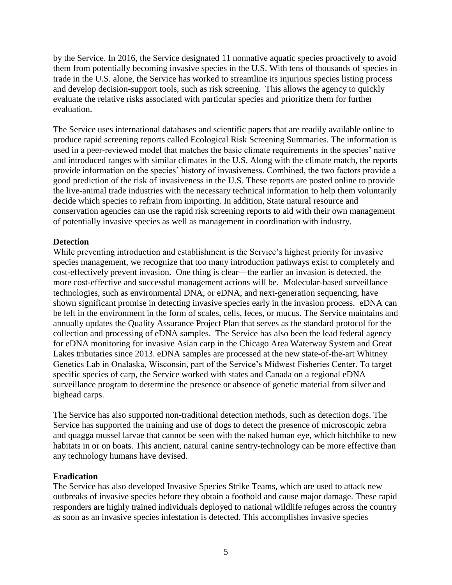by the Service. In 2016, the Service designated 11 nonnative aquatic species proactively to avoid them from potentially becoming invasive species in the U.S. With tens of thousands of species in trade in the U.S. alone, the Service has worked to streamline its injurious species listing process and develop decision-support tools, such as risk screening. This allows the agency to quickly evaluate the relative risks associated with particular species and prioritize them for further evaluation.

The Service uses international databases and scientific papers that are readily available online to produce rapid screening reports called Ecological Risk Screening Summaries. The information is used in a peer-reviewed model that matches the basic climate requirements in the species' native and introduced ranges with similar climates in the U.S. Along with the climate match, the reports provide information on the species' history of invasiveness. Combined, the two factors provide a good prediction of the risk of invasiveness in the U.S. These reports are posted online to provide the live-animal trade industries with the necessary technical information to help them voluntarily decide which species to refrain from importing. In addition, State natural resource and conservation agencies can use the rapid risk screening reports to aid with their own management of potentially invasive species as well as management in coordination with industry.

## **Detection**

While preventing introduction and establishment is the Service's highest priority for invasive species management, we recognize that too many introduction pathways exist to completely and cost-effectively prevent invasion. One thing is clear—the earlier an invasion is detected, the more cost-effective and successful management actions will be. Molecular-based surveillance technologies, such as environmental DNA, or eDNA, and next-generation sequencing, have shown significant promise in detecting invasive species early in the invasion process. eDNA can be left in the environment in the form of scales, cells, feces, or mucus. The Service maintains and annually updates the Quality Assurance Project Plan that serves as the standard protocol for the collection and processing of eDNA samples. The Service has also been the lead federal agency for eDNA monitoring for invasive Asian carp in the Chicago Area Waterway System and Great Lakes tributaries since 2013. eDNA samples are processed at the new state-of-the-art Whitney Genetics Lab in Onalaska, Wisconsin, part of the Service's Midwest Fisheries Center. To target specific species of carp, the Service worked with states and Canada on a regional eDNA surveillance program to determine the presence or absence of genetic material from silver and bighead carps.

The Service has also supported non-traditional detection methods, such as detection dogs. The Service has supported the training and use of dogs to detect the presence of microscopic zebra and quagga mussel larvae that cannot be seen with the naked human eye, which hitchhike to new habitats in or on boats. This ancient, natural canine sentry-technology can be more effective than any technology humans have devised.

#### **Eradication**

The Service has also developed Invasive Species Strike Teams, which are used to attack new outbreaks of invasive species before they obtain a foothold and cause major damage. These rapid responders are highly trained individuals deployed to national wildlife refuges across the country as soon as an invasive species infestation is detected. This accomplishes invasive species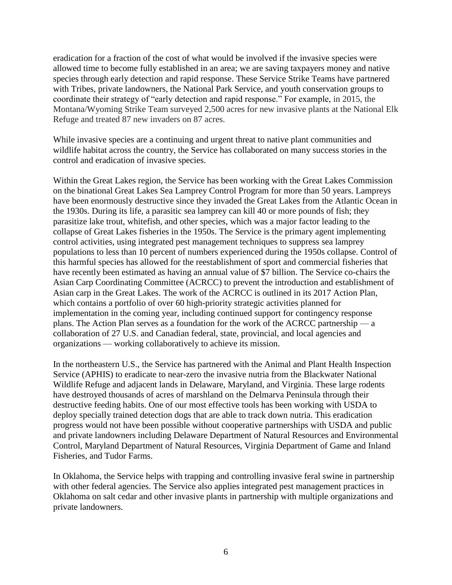eradication for a fraction of the cost of what would be involved if the invasive species were allowed time to become fully established in an area; we are saving taxpayers money and native species through early detection and rapid response. These Service Strike Teams have partnered with Tribes, private landowners, the National Park Service, and youth conservation groups to coordinate their strategy of "early detection and rapid response." For example, in 2015, the Montana/Wyoming Strike Team surveyed 2,500 acres for new invasive plants at the National Elk Refuge and treated 87 new invaders on 87 acres.

While invasive species are a continuing and urgent threat to native plant communities and wildlife habitat across the country, the Service has collaborated on many success stories in the control and eradication of invasive species.

Within the Great Lakes region, the Service has been working with the Great Lakes Commission on the binational Great Lakes Sea Lamprey Control Program for more than 50 years. Lampreys have been enormously destructive since they invaded the Great Lakes from the Atlantic Ocean in the 1930s. During its life, a parasitic sea lamprey can kill 40 or more pounds of fish; they parasitize lake trout, whitefish, and other species, which was a major factor leading to the collapse of Great Lakes fisheries in the 1950s. The Service is the primary agent implementing control activities, using integrated pest management techniques to suppress sea lamprey populations to less than 10 percent of numbers experienced during the 1950s collapse. Control of this harmful species has allowed for the reestablishment of sport and commercial fisheries that have recently been estimated as having an annual value of \$7 billion. The Service co-chairs the Asian Carp Coordinating Committee (ACRCC) to prevent the introduction and establishment of Asian carp in the Great Lakes. The work of the ACRCC is outlined in its 2017 Action Plan, which contains a portfolio of over 60 high-priority strategic activities planned for implementation in the coming year, including continued support for contingency response plans. The Action Plan serves as a foundation for the work of the ACRCC partnership — a collaboration of 27 U.S. and Canadian federal, state, provincial, and local agencies and organizations — working collaboratively to achieve its mission.

In the northeastern U.S., the Service has partnered with the Animal and Plant Health Inspection Service (APHIS) to eradicate to near-zero the invasive nutria from the Blackwater National Wildlife Refuge and adjacent lands in Delaware, Maryland, and Virginia. These large rodents have destroyed thousands of acres of marshland on the Delmarva Peninsula through their destructive feeding habits. One of our most effective tools has been working with USDA to deploy specially trained detection dogs that are able to track down nutria. This eradication progress would not have been possible without cooperative partnerships with USDA and public and private landowners including Delaware Department of Natural Resources and Environmental Control, Maryland Department of Natural Resources, Virginia Department of Game and Inland Fisheries, and Tudor Farms.

In Oklahoma, the Service helps with trapping and controlling invasive feral swine in partnership with other federal agencies. The Service also applies integrated pest management practices in Oklahoma on salt cedar and other invasive plants in partnership with multiple organizations and private landowners.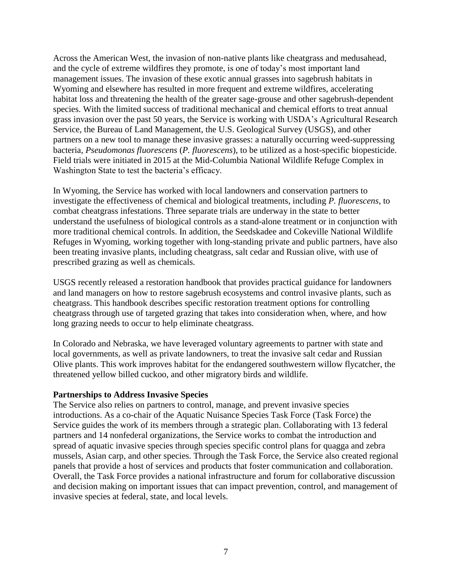Across the American West, the invasion of non-native plants like cheatgrass and medusahead, and the cycle of extreme wildfires they promote, is one of today's most important land management issues. The invasion of these exotic annual grasses into sagebrush habitats in Wyoming and elsewhere has resulted in more frequent and extreme wildfires, accelerating habitat loss and threatening the health of the greater sage-grouse and other sagebrush-dependent species. With the limited success of traditional mechanical and chemical efforts to treat annual grass invasion over the past 50 years, the Service is working with USDA's Agricultural Research Service, the Bureau of Land Management, the U.S. Geological Survey (USGS), and other partners on a new tool to manage these invasive grasses: a naturally occurring weed-suppressing bacteria, *Pseudomonas fluorescens* (*P. fluorescens*), to be utilized as a host-specific biopesticide. Field trials were initiated in 2015 at the Mid-Columbia National Wildlife Refuge Complex in Washington State to test the bacteria's efficacy.

In Wyoming, the Service has worked with local landowners and conservation partners to investigate the effectiveness of chemical and biological treatments, including *P. fluorescens*, to combat cheatgrass infestations. Three separate trials are underway in the state to better understand the usefulness of biological controls as a stand-alone treatment or in conjunction with more traditional chemical controls. In addition, the Seedskadee and Cokeville National Wildlife Refuges in Wyoming, working together with long-standing private and public partners, have also been treating invasive plants, including cheatgrass, salt cedar and Russian olive, with use of prescribed grazing as well as chemicals.

USGS recently released a restoration handbook that provides practical guidance for landowners and land managers on how to restore sagebrush ecosystems and control invasive plants, such as cheatgrass. This handbook describes specific restoration treatment options for controlling cheatgrass through use of targeted grazing that takes into consideration when, where, and how long grazing needs to occur to help eliminate cheatgrass.

In Colorado and Nebraska, we have leveraged voluntary agreements to partner with state and local governments, as well as private landowners, to treat the invasive salt cedar and Russian Olive plants. This work improves habitat for the endangered southwestern willow flycatcher, the threatened yellow billed cuckoo, and other migratory birds and wildlife.

#### **Partnerships to Address Invasive Species**

The Service also relies on partners to control, manage, and prevent invasive species introductions. As a co-chair of the Aquatic Nuisance Species Task Force (Task Force) the Service guides the work of its members through a strategic plan. Collaborating with 13 federal partners and 14 nonfederal organizations, the Service works to combat the introduction and spread of aquatic invasive species through species specific control plans for quagga and zebra mussels, Asian carp, and other species. Through the Task Force, the Service also created regional panels that provide a host of services and products that foster communication and collaboration. Overall, the Task Force provides a national infrastructure and forum for collaborative discussion and decision making on important issues that can impact prevention, control, and management of invasive species at federal, state, and local levels.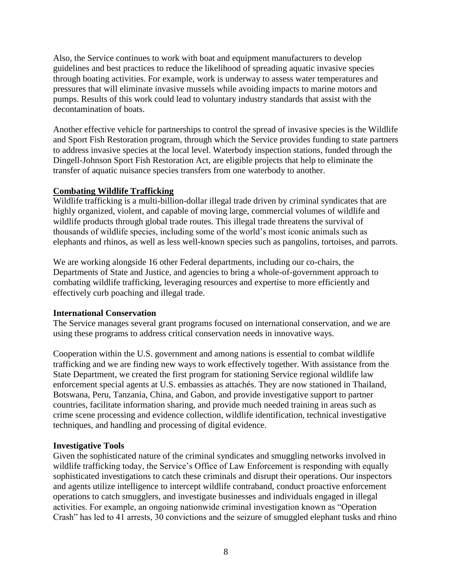Also, the Service continues to work with boat and equipment manufacturers to develop guidelines and best practices to reduce the likelihood of spreading aquatic invasive species through boating activities. For example, work is underway to assess water temperatures and pressures that will eliminate invasive mussels while avoiding impacts to marine motors and pumps. Results of this work could lead to voluntary industry standards that assist with the decontamination of boats.

Another effective vehicle for partnerships to control the spread of invasive species is the Wildlife and Sport Fish Restoration program, through which the Service provides funding to state partners to address invasive species at the local level. Waterbody inspection stations, funded through the Dingell-Johnson Sport Fish Restoration Act, are eligible projects that help to eliminate the transfer of aquatic nuisance species transfers from one waterbody to another.

## **Combating Wildlife Trafficking**

Wildlife trafficking is a multi-billion-dollar illegal trade driven by criminal syndicates that are highly organized, violent, and capable of moving large, commercial volumes of wildlife and wildlife products through global trade routes. This illegal trade threatens the survival of thousands of wildlife species, including some of the world's most iconic animals such as elephants and rhinos, as well as less well-known species such as pangolins, tortoises, and parrots.

We are working alongside 16 other Federal departments, including our co-chairs, the Departments of State and Justice, and agencies to bring a whole-of-government approach to combating wildlife trafficking, leveraging resources and expertise to more efficiently and effectively curb poaching and illegal trade.

## **International Conservation**

The Service manages several grant programs focused on international conservation, and we are using these programs to address critical conservation needs in innovative ways.

Cooperation within the U.S. government and among nations is essential to combat wildlife trafficking and we are finding new ways to work effectively together. With assistance from the State Department, we created the first program for stationing Service regional wildlife law enforcement special agents at U.S. embassies as attachés. They are now stationed in Thailand, Botswana, Peru, Tanzania, China, and Gabon, and provide investigative support to partner countries, facilitate information sharing, and provide much needed training in areas such as crime scene processing and evidence collection, wildlife identification, technical investigative techniques, and handling and processing of digital evidence.

## **Investigative Tools**

Given the sophisticated nature of the criminal syndicates and smuggling networks involved in wildlife trafficking today, the Service's Office of Law Enforcement is responding with equally sophisticated investigations to catch these criminals and disrupt their operations. Our inspectors and agents utilize intelligence to intercept wildlife contraband, conduct proactive enforcement operations to catch smugglers, and investigate businesses and individuals engaged in illegal activities. For example, an ongoing nationwide criminal investigation known as "Operation Crash" has led to 41 arrests, 30 convictions and the seizure of smuggled elephant tusks and rhino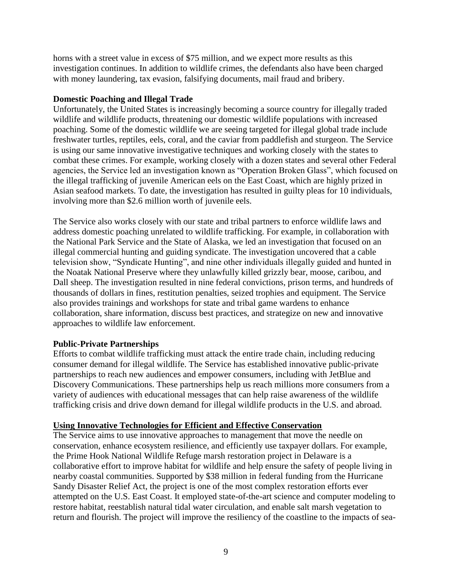horns with a street value in excess of \$75 million, and we expect more results as this investigation continues. In addition to wildlife crimes, the defendants also have been charged with money laundering, tax evasion, falsifying documents, mail fraud and bribery.

#### **Domestic Poaching and Illegal Trade**

Unfortunately, the United States is increasingly becoming a source country for illegally traded wildlife and wildlife products, threatening our domestic wildlife populations with increased poaching. Some of the domestic wildlife we are seeing targeted for illegal global trade include freshwater turtles, reptiles, eels, coral, and the caviar from paddlefish and sturgeon. The Service is using our same innovative investigative techniques and working closely with the states to combat these crimes. For example, working closely with a dozen states and several other Federal agencies, the Service led an investigation known as "Operation Broken Glass", which focused on the illegal trafficking of juvenile American eels on the East Coast, which are highly prized in Asian seafood markets. To date, the investigation has resulted in guilty pleas for 10 individuals, involving more than \$2.6 million worth of juvenile eels.

The Service also works closely with our state and tribal partners to enforce wildlife laws and address domestic poaching unrelated to wildlife trafficking. For example, in collaboration with the National Park Service and the State of Alaska, we led an investigation that focused on an illegal commercial hunting and guiding syndicate. The investigation uncovered that a cable television show, "Syndicate Hunting", and nine other individuals illegally guided and hunted in the Noatak National Preserve where they unlawfully killed grizzly bear, moose, caribou, and Dall sheep. The investigation resulted in nine federal convictions, prison terms, and hundreds of thousands of dollars in fines, restitution penalties, seized trophies and equipment. The Service also provides trainings and workshops for state and tribal game wardens to enhance collaboration, share information, discuss best practices, and strategize on new and innovative approaches to wildlife law enforcement.

## **Public-Private Partnerships**

Efforts to combat wildlife trafficking must attack the entire trade chain, including reducing consumer demand for illegal wildlife. The Service has established innovative public-private partnerships to reach new audiences and empower consumers, including with JetBlue and Discovery Communications. These partnerships help us reach millions more consumers from a variety of audiences with educational messages that can help raise awareness of the wildlife trafficking crisis and drive down demand for illegal wildlife products in the U.S. and abroad.

## **Using Innovative Technologies for Efficient and Effective Conservation**

The Service aims to use innovative approaches to management that move the needle on conservation, enhance ecosystem resilience, and efficiently use taxpayer dollars. For example, the Prime Hook National Wildlife Refuge marsh restoration project in Delaware is a collaborative effort to improve habitat for wildlife and help ensure the safety of people living in nearby coastal communities. Supported by \$38 million in federal funding from the Hurricane Sandy Disaster Relief Act, the project is one of the most complex restoration efforts ever attempted on the U.S. East Coast. It employed state-of-the-art science and computer modeling to restore habitat, reestablish natural tidal water circulation, and enable salt marsh vegetation to return and flourish. The project will improve the resiliency of the coastline to the impacts of sea